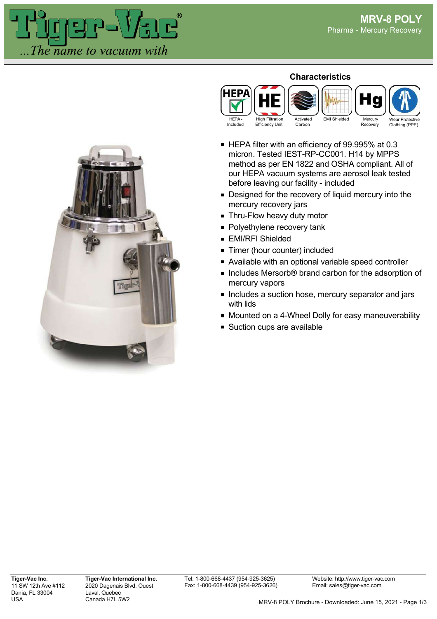



HEP/

## ■ Designed for the recovery of liquid mercury into the mercury recovery jars

**Characteristics**

EMI Shielded Mercury

**Recovery** 

Wear Protective Clothing (PPE)

- **Thru-Flow heavy duty motor**
- **Polyethylene recovery tank**
- **EMI/RFI Shielded**
- **Timer (hour counter) included**
- Available with an optional variable speed controller
- Includes Mersorb® brand carbon for the adsorption of mercury vapors
- **Includes a suction hose, mercury separator and jars** with lids
- **Mounted on a 4-Wheel Dolly for easy maneuverability**
- Suction cups are available

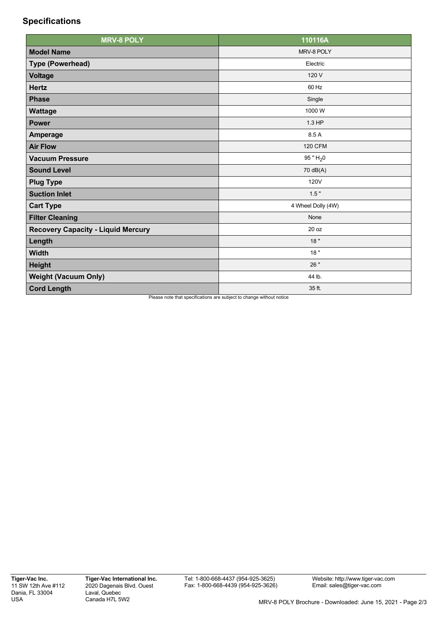## **Specifications**

| <b>MRV-8 POLY</b>                                                       | 110116A                      |
|-------------------------------------------------------------------------|------------------------------|
| <b>Model Name</b>                                                       | MRV-8 POLY                   |
| <b>Type (Powerhead)</b>                                                 | Electric                     |
| <b>Voltage</b>                                                          | 120 V                        |
| <b>Hertz</b>                                                            | 60 Hz                        |
| <b>Phase</b>                                                            | Single                       |
| Wattage                                                                 | 1000 W                       |
| <b>Power</b>                                                            | 1.3 HP                       |
| <b>Amperage</b>                                                         | 8.5 A                        |
| <b>Air Flow</b>                                                         | <b>120 CFM</b>               |
| <b>Vacuum Pressure</b>                                                  | 95 " $H_2$ 0                 |
| <b>Sound Level</b>                                                      | 70 dB(A)                     |
| <b>Plug Type</b>                                                        | 120V                         |
| <b>Suction Inlet</b>                                                    | 1.5"                         |
| <b>Cart Type</b>                                                        | 4 Wheel Dolly (4W)           |
| <b>Filter Cleaning</b>                                                  | None                         |
| <b>Recovery Capacity - Liquid Mercury</b>                               | 20 oz                        |
| Length                                                                  | 18"                          |
| <b>Width</b>                                                            | 18"                          |
| <b>Height</b>                                                           | 26 "                         |
| <b>Weight (Vacuum Only)</b>                                             | 44 lb.                       |
| <b>Cord Length</b><br>Discovered that an<br>$\mathcal{L} = \mathcal{L}$ | 35 ft.<br>من به من ماله فرود |

se note that specifications are subject to change without notice